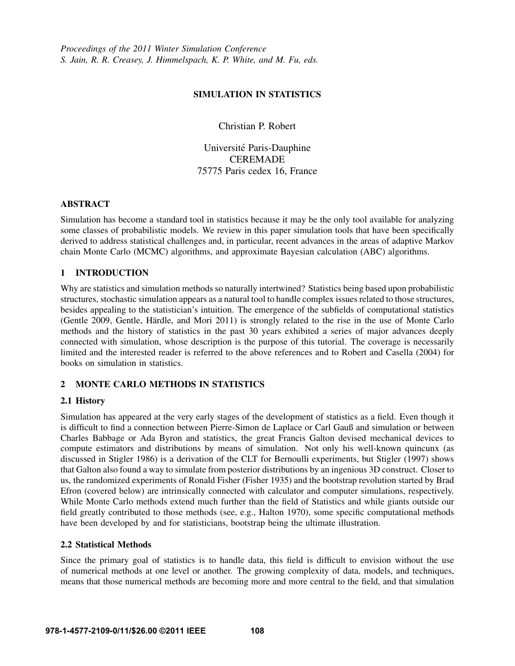# SIMULATION IN STATISTICS

Christian P. Robert

Universite Paris-Dauphine ´ **CEREMADE** 75775 Paris cedex 16, France

# ABSTRACT

Simulation has become a standard tool in statistics because it may be the only tool available for analyzing some classes of probabilistic models. We review in this paper simulation tools that have been specifically derived to address statistical challenges and, in particular, recent advances in the areas of adaptive Markov chain Monte Carlo (MCMC) algorithms, and approximate Bayesian calculation (ABC) algorithms.

# 1 INTRODUCTION

Why are statistics and simulation methods so naturally intertwined? Statistics being based upon probabilistic structures, stochastic simulation appears as a natural tool to handle complex issues related to those structures, besides appealing to the statistician's intuition. The emergence of the subfields of computational statistics (Gentle 2009, Gentle, Hardle, and Mori 2011) is strongly related to the rise in the use of Monte Carlo ¨ methods and the history of statistics in the past 30 years exhibited a series of major advances deeply connected with simulation, whose description is the purpose of this tutorial. The coverage is necessarily limited and the interested reader is referred to the above references and to Robert and Casella (2004) for books on simulation in statistics.

# 2 MONTE CARLO METHODS IN STATISTICS

# 2.1 History

Simulation has appeared at the very early stages of the development of statistics as a field. Even though it is difficult to find a connection between Pierre-Simon de Laplace or Carl Gauß and simulation or between Charles Babbage or Ada Byron and statistics, the great Francis Galton devised mechanical devices to compute estimators and distributions by means of simulation. Not only his well-known quincunx (as discussed in Stigler 1986) is a derivation of the CLT for Bernoulli experiments, but Stigler (1997) shows that Galton also found a way to simulate from posterior distributions by an ingenious 3D construct. Closer to us, the randomized experiments of Ronald Fisher (Fisher 1935) and the bootstrap revolution started by Brad Efron (covered below) are intrinsically connected with calculator and computer simulations, respectively. While Monte Carlo methods extend much further than the field of Statistics and while giants outside our field greatly contributed to those methods (see, e.g., Halton 1970), some specific computational methods have been developed by and for statisticians, bootstrap being the ultimate illustration.

# 2.2 Statistical Methods

Since the primary goal of statistics is to handle data, this field is difficult to envision without the use of numerical methods at one level or another. The growing complexity of data, models, and techniques, means that those numerical methods are becoming more and more central to the field, and that simulation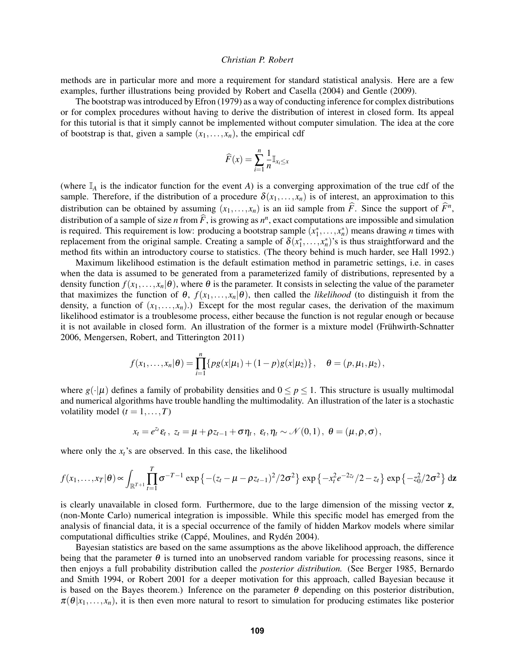methods are in particular more and more a requirement for standard statistical analysis. Here are a few examples, further illustrations being provided by Robert and Casella (2004) and Gentle (2009).

The bootstrap was introduced by Efron (1979) as a way of conducting inference for complex distributions or for complex procedures without having to derive the distribution of interest in closed form. Its appeal for this tutorial is that it simply cannot be implemented without computer simulation. The idea at the core of bootstrap is that, given a sample  $(x_1, \ldots, x_n)$ , the empirical cdf

$$
\widehat{F}(x) = \sum_{i=1}^{n} \frac{1}{n} \mathbb{I}_{x_i \leq x}
$$

(where I*<sup>A</sup>* is the indicator function for the event *A*) is a converging approximation of the true cdf of the sample. Therefore, if the distribution of a procedure  $\delta(x_1,...,x_n)$  is of interest, an approximation to this distribution can be obtained by assuming  $(x_1, \ldots, x_n)$  is an iid sample from  $\widehat{F}$ . Since the support of  $\widehat{F}^n$ , distribution of a sample of size *n* from  $\widehat{F}$ , is growing as  $n^n$ , exact computations are impossible and simulation is required. This requirement is low: producing a bootstrap sample  $(x_1^*, \ldots, x_n^*)$  means drawing *n* times with replacement from the original sample. Creating a sample of  $\delta(x_1^*, \ldots, x_n^*)$ 's is thus straightforward and the method fits within an introductory course to statistics. (The theory behind is much harder, see Hall 1992.)

Maximum likelihood estimation is the default estimation method in parametric settings, i.e. in cases when the data is assumed to be generated from a parameterized family of distributions, represented by a density function  $f(x_1,...,x_n|\theta)$ , where  $\theta$  is the parameter. It consists in selecting the value of the parameter that maximizes the function of  $\theta$ ,  $f(x_1,...,x_n|\theta)$ , then called the *likelihood* (to distinguish it from the density, a function of  $(x_1,...,x_n)$ .) Except for the most regular cases, the derivation of the maximum likelihood estimator is a troublesome process, either because the function is not regular enough or because it is not available in closed form. An illustration of the former is a mixture model (Frühwirth-Schnatter 2006, Mengersen, Robert, and Titterington 2011)

$$
f(x_1,...,x_n|\theta) = \prod_{i=1}^n \{pg(x|\mu_1) + (1-p)g(x|\mu_2)\}, \quad \theta = (p,\mu_1,\mu_2),
$$

where  $g(\cdot|\mu)$  defines a family of probability densities and  $0 \leq p \leq 1$ . This structure is usually multimodal and numerical algorithms have trouble handling the multimodality. An illustration of the later is a stochastic volatility model  $(t = 1, ..., T)$ 

$$
x_t = e^{z_t} \varepsilon_t, \ z_t = \mu + \rho z_{t-1} + \sigma \eta_t, \ \varepsilon_t, \eta_t \sim \mathcal{N}(0,1), \ \theta = (\mu, \rho, \sigma),
$$

where only the  $x_t$ 's are observed. In this case, the likelihood

$$
f(x_1,...,x_T|\theta) \propto \int_{\mathbb{R}^{T+1}} \prod_{t=1}^T \sigma^{-T-1} \exp\left\{-(z_t-\mu-\rho z_{t-1})^2/2\sigma^2\right\} \exp\left\{-x_t^2 e^{-2z_t}/2-z_t\right\} \exp\left\{-z_0^2/2\sigma^2\right\} d\mathbf{z}
$$

is clearly unavailable in closed form. Furthermore, due to the large dimension of the missing vector z, (non-Monte Carlo) numerical integration is impossible. While this specific model has emerged from the analysis of financial data, it is a special occurrence of the family of hidden Markov models where similar computational difficulties strike (Cappé, Moulines, and Rydén 2004).

Bayesian statistics are based on the same assumptions as the above likelihood approach, the difference being that the parameter  $\theta$  is turned into an unobserved random variable for processing reasons, since it then enjoys a full probability distribution called the *posterior distribution.* (See Berger 1985, Bernardo and Smith 1994, or Robert 2001 for a deeper motivation for this approach, called Bayesian because it is based on the Bayes theorem.) Inference on the parameter  $\theta$  depending on this posterior distribution,  $\pi(\theta|x_1,\ldots,x_n)$ , it is then even more natural to resort to simulation for producing estimates like posterior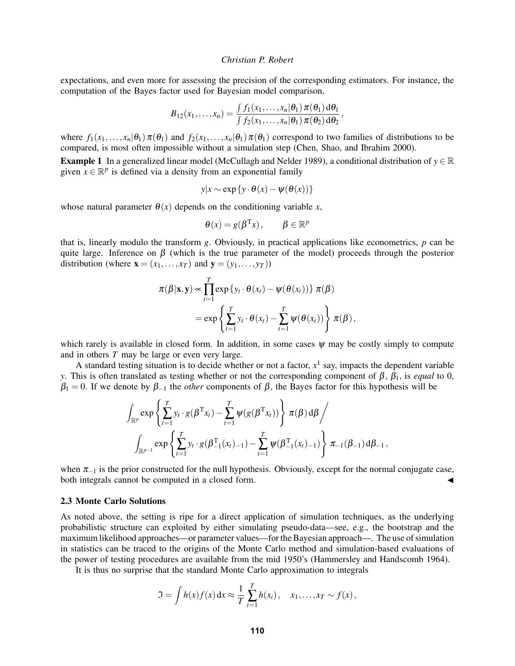expectations, and even more for assessing the precision of the corresponding estimators. For instance, the computation of the Bayes factor used for Bayesian model comparison,

$$
B_{12}(x_1,\ldots,x_n)=\frac{\int f_1(x_1,\ldots,x_n|\theta_1)\,\pi(\theta_1)\,d\theta_1}{\int f_2(x_1,\ldots,x_n|\theta_1)\,\pi(\theta_2)\,d\theta_2},
$$

where  $f_1(x_1,...,x_n|\theta_1)\pi(\theta_1)$  and  $f_2(x_1,...,x_n|\theta_1)\pi(\theta_1)$  correspond to two families of distributions to be compared, is most often impossible without a simulation step (Chen, Shao, and Ibrahim 2000).

**Example 1** In a generalized linear model (McCullagh and Nelder 1989), a conditional distribution of  $y \in \mathbb{R}$ given  $x \in \mathbb{R}^p$  is defined via a density from an exponential family

$$
y|x \sim \exp\{y \cdot \theta(x) - \psi(\theta(x))\}
$$

whose natural parameter  $\theta(x)$  depends on the conditioning variable *x*,

$$
\theta(x) = g(\beta^{\mathrm{T}} x), \qquad \beta \in \mathbb{R}^p
$$

that is, linearly modulo the transform *g*. Obviously, in practical applications like econometrics, *p* can be quite large. Inference on  $\beta$  (which is the true parameter of the model) proceeds through the posterior distribution (where  $\mathbf{x} = (x_1, \dots, x_T)$  and  $\mathbf{y} = (y_1, \dots, y_T)$ )

$$
\pi(\beta|\mathbf{x}, \mathbf{y}) \propto \prod_{t=1}^{T} \exp \{y_t \cdot \theta(x_t) - \psi(\theta(x_t))\} \pi(\beta)
$$
  
= 
$$
\exp \left\{\sum_{t=1}^{T} y_t \cdot \theta(x_t) - \sum_{t=1}^{T} \psi(\theta(x_t))\right\} \pi(\beta),
$$

which rarely is available in closed form. In addition, in some cases  $\psi$  may be costly simply to compute and in others *T* may be large or even very large.

A standard testing situation is to decide whether or not a factor,  $x<sup>1</sup>$  say, impacts the dependent variable *y*. This is often translated as testing whether or not the corresponding component of  $\beta$ ,  $\beta_1$ , is *equal* to 0,  $β_1 = 0$ . If we denote by  $β_{-1}$  the *other* components of  $β$ , the Bayes factor for this hypothesis will be

$$
\int_{\mathbb{R}^p} \exp \left\{ \sum_{t=1}^T y_t \cdot g(\beta^{\mathrm{T}} x_t) - \sum_{t=1}^T \psi(g(\beta^{\mathrm{T}} x_t)) \right\} \pi(\beta) d\beta \Big/ \n\int_{\mathbb{R}^{p-1}} \exp \left\{ \sum_{t=1}^T y_t \cdot g(\beta^{\mathrm{T}}_{-1}(x_t)_{-1}) - \sum_{t=1}^T \psi(\beta^{\mathrm{T}}_{-1}(x_t)_{-1}) \right\} \pi_{-1}(\beta_{-1}) d\beta_{-1},
$$

when  $\pi_{-1}$  is the prior constructed for the null hypothesis. Obviously, except for the normal conjugate case, both integrals cannot be computed in a closed form.  $\triangleleft$ 

#### 2.3 Monte Carlo Solutions

As noted above, the setting is ripe for a direct application of simulation techniques, as the underlying probabilistic structure can exploited by either simulating pseudo-data—see, e.g., the bootstrap and the maximum likelihood approaches—or parameter values—for the Bayesian approach—. The use of simulation in statistics can be traced to the origins of the Monte Carlo method and simulation-based evaluations of the power of testing procedures are available from the mid 1950's (Hammersley and Handscomb 1964).

It is thus no surprise that the standard Monte Carlo approximation to integrals

$$
\mathfrak{I} = \int h(x) f(x) dx \approx \frac{1}{T} \sum_{t=1}^T h(x_t), \quad x_1, \ldots, x_T \sim f(x),
$$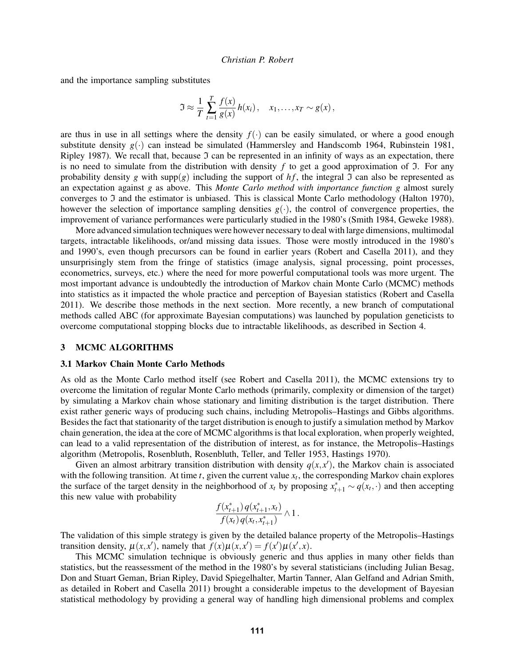and the importance sampling substitutes

$$
\mathfrak{I} \approx \frac{1}{T} \sum_{t=1}^T \frac{f(x)}{g(x)} h(x_t), \quad x_1, \ldots, x_T \sim g(x),
$$

are thus in use in all settings where the density  $f(\cdot)$  can be easily simulated, or where a good enough substitute density  $g(\cdot)$  can instead be simulated (Hammersley and Handscomb 1964, Rubinstein 1981, Ripley 1987). We recall that, because  $\Im$  can be represented in an infinity of ways as an expectation, there is no need to simulate from the distribution with density  $f$  to get a good approximation of  $\mathfrak I$ . For any probability density *g* with supp(*g*) including the support of  $hf$ , the integral  $\Im$  can also be represented as an expectation against *g* as above. This *Monte Carlo method with importance function g* almost surely converges to  $\Im$  and the estimator is unbiased. This is classical Monte Carlo methodology (Halton 1970), however the selection of importance sampling densities  $g(\cdot)$ , the control of convergence properties, the improvement of variance performances were particularly studied in the 1980's (Smith 1984, Geweke 1988).

More advanced simulation techniques were however necessary to deal with large dimensions, multimodal targets, intractable likelihoods, or/and missing data issues. Those were mostly introduced in the 1980's and 1990's, even though precursors can be found in earlier years (Robert and Casella 2011), and they unsurprisingly stem from the fringe of statistics (image analysis, signal processing, point processes, econometrics, surveys, etc.) where the need for more powerful computational tools was more urgent. The most important advance is undoubtedly the introduction of Markov chain Monte Carlo (MCMC) methods into statistics as it impacted the whole practice and perception of Bayesian statistics (Robert and Casella 2011). We describe those methods in the next section. More recently, a new branch of computational methods called ABC (for approximate Bayesian computations) was launched by population geneticists to overcome computational stopping blocks due to intractable likelihoods, as described in Section 4.

# 3 MCMC ALGORITHMS

#### 3.1 Markov Chain Monte Carlo Methods

As old as the Monte Carlo method itself (see Robert and Casella 2011), the MCMC extensions try to overcome the limitation of regular Monte Carlo methods (primarily, complexity or dimension of the target) by simulating a Markov chain whose stationary and limiting distribution is the target distribution. There exist rather generic ways of producing such chains, including Metropolis–Hastings and Gibbs algorithms. Besides the fact that stationarity of the target distribution is enough to justify a simulation method by Markov chain generation, the idea at the core of MCMC algorithms is that local exploration, when properly weighted, can lead to a valid representation of the distribution of interest, as for instance, the Metropolis–Hastings algorithm (Metropolis, Rosenbluth, Rosenbluth, Teller, and Teller 1953, Hastings 1970).

Given an almost arbitrary transition distribution with density  $q(x, x')$ , the Markov chain is associated with the following transition. At time  $t$ , given the current value  $x_t$ , the corresponding Markov chain explores the surface of the target density in the neighborhood of  $x_t$  by proposing  $x_{t+1}^* \sim q(x_t, \cdot)$  and then accepting this new value with probability

$$
\frac{f(x_{t+1}^*)q(x_{t+1}^*,x_t)}{f(x_t)q(x_t,x_{t+1}^*)} \wedge 1.
$$

The validation of this simple strategy is given by the detailed balance property of the Metropolis–Hastings transition density,  $\mu(x, x')$ , namely that  $f(x)\mu(x, x') = f(x')\mu(x', x)$ .

This MCMC simulation technique is obviously generic and thus applies in many other fields than statistics, but the reassessment of the method in the 1980's by several statisticians (including Julian Besag, Don and Stuart Geman, Brian Ripley, David Spiegelhalter, Martin Tanner, Alan Gelfand and Adrian Smith, as detailed in Robert and Casella 2011) brought a considerable impetus to the development of Bayesian statistical methodology by providing a general way of handling high dimensional problems and complex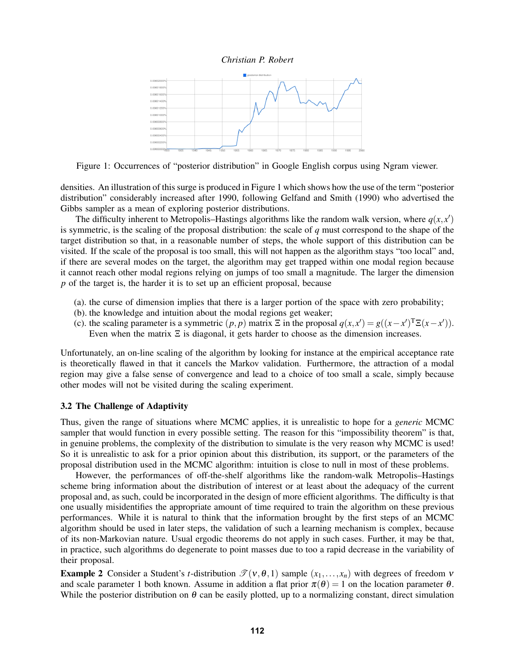



Figure 1: Occurrences of "posterior distribution" in Google English corpus using Ngram viewer.

densities. An illustration of this surge is produced in Figure 1 which shows how the use of the term "posterior distribution" considerably increased after 1990, following Gelfand and Smith (1990) who advertised the Gibbs sampler as a mean of exploring posterior distributions.

The difficulty inherent to Metropolis–Hastings algorithms like the random walk version, where  $q(x, x')$ is symmetric, is the scaling of the proposal distribution: the scale of *q* must correspond to the shape of the target distribution so that, in a reasonable number of steps, the whole support of this distribution can be visited. If the scale of the proposal is too small, this will not happen as the algorithm stays "too local" and, if there are several modes on the target, the algorithm may get trapped within one modal region because it cannot reach other modal regions relying on jumps of too small a magnitude. The larger the dimension *p* of the target is, the harder it is to set up an efficient proposal, because

- (a). the curse of dimension implies that there is a larger portion of the space with zero probability;
- (b). the knowledge and intuition about the modal regions get weaker;
- (c). the scaling parameter is a symmetric  $(p, p)$  matrix  $\Xi$  in the proposal  $q(x, x') = g((x x')^T \Xi(x x')).$ Even when the matrix  $\Xi$  is diagonal, it gets harder to choose as the dimension increases.

Unfortunately, an on-line scaling of the algorithm by looking for instance at the empirical acceptance rate is theoretically flawed in that it cancels the Markov validation. Furthermore, the attraction of a modal region may give a false sense of convergence and lead to a choice of too small a scale, simply because other modes will not be visited during the scaling experiment.

### 3.2 The Challenge of Adaptivity

Thus, given the range of situations where MCMC applies, it is unrealistic to hope for a *generic* MCMC sampler that would function in every possible setting. The reason for this "impossibility theorem" is that, in genuine problems, the complexity of the distribution to simulate is the very reason why MCMC is used! So it is unrealistic to ask for a prior opinion about this distribution, its support, or the parameters of the proposal distribution used in the MCMC algorithm: intuition is close to null in most of these problems.

However, the performances of off-the-shelf algorithms like the random-walk Metropolis–Hastings scheme bring information about the distribution of interest or at least about the adequacy of the current proposal and, as such, could be incorporated in the design of more efficient algorithms. The difficulty is that one usually misidentifies the appropriate amount of time required to train the algorithm on these previous performances. While it is natural to think that the information brought by the first steps of an MCMC algorithm should be used in later steps, the validation of such a learning mechanism is complex, because of its non-Markovian nature. Usual ergodic theorems do not apply in such cases. Further, it may be that, in practice, such algorithms do degenerate to point masses due to too a rapid decrease in the variability of their proposal.

Example 2 Consider a Student's *t*-distribution  $\mathcal{T}(v, \theta, 1)$  sample  $(x_1, \ldots, x_n)$  with degrees of freedom v and scale parameter 1 both known. Assume in addition a flat prior  $\pi(\theta) = 1$  on the location parameter  $\theta$ . While the posterior distribution on  $\theta$  can be easily plotted, up to a normalizing constant, direct simulation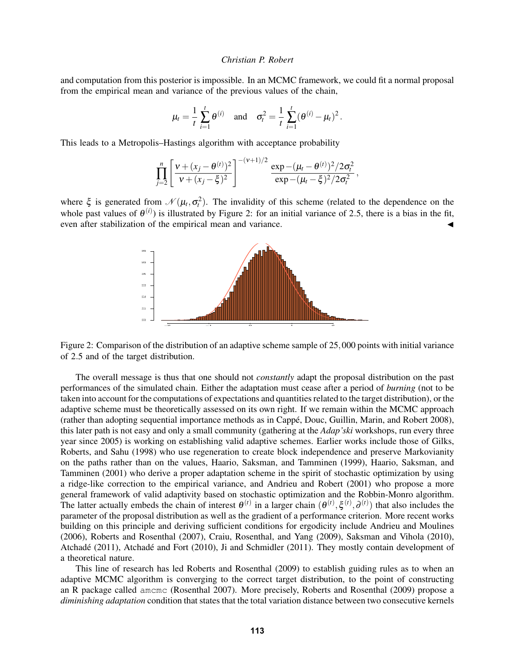and computation from this posterior is impossible. In an MCMC framework, we could fit a normal proposal from the empirical mean and variance of the previous values of the chain,

$$
\mu_t = \frac{1}{t} \sum_{i=1}^t \theta^{(i)}
$$
 and  $\sigma_t^2 = \frac{1}{t} \sum_{i=1}^t (\theta^{(i)} - \mu_t)^2$ .

This leads to a Metropolis–Hastings algorithm with acceptance probability

$$
\prod_{j=2}^n \left[ \frac{v + (x_j - \theta^{(t)})^2}{v + (x_j - \xi)^2} \right]^{-(v+1)/2} \frac{\exp - (\mu_t - \theta^{(t)})^2 / 2\sigma_t^2}{\exp - (\mu_t - \xi)^2 / 2\sigma_t^2},
$$

where  $\xi$  is generated from  $\mathcal{N}(\mu_t, \sigma_t^2)$ . The invalidity of this scheme (related to the dependence on the whole past values of  $\theta^{(i)}$ ) is illustrated by Figure 2: for an initial variance of 2.5, there is a bias in the fit, even after stabilization of the empirical mean and variance.



Figure 2: Comparison of the distribution of an adaptive scheme sample of 25,000 points with initial variance of 2.5 and of the target distribution.

The overall message is thus that one should not *constantly* adapt the proposal distribution on the past performances of the simulated chain. Either the adaptation must cease after a period of *burning* (not to be taken into account for the computations of expectations and quantities related to the target distribution), or the adaptive scheme must be theoretically assessed on its own right. If we remain within the MCMC approach (rather than adopting sequential importance methods as in Cappe, Douc, Guillin, Marin, and Robert 2008), ´ this later path is not easy and only a small community (gathering at the *Adap'ski* workshops, run every three year since 2005) is working on establishing valid adaptive schemes. Earlier works include those of Gilks, Roberts, and Sahu (1998) who use regeneration to create block independence and preserve Markovianity on the paths rather than on the values, Haario, Saksman, and Tamminen (1999), Haario, Saksman, and Tamminen (2001) who derive a proper adaptation scheme in the spirit of stochastic optimization by using a ridge-like correction to the empirical variance, and Andrieu and Robert (2001) who propose a more general framework of valid adaptivity based on stochastic optimization and the Robbin-Monro algorithm. The latter actually embeds the chain of interest  $\theta^{(t)}$  in a larger chain  $(\theta^{(t)}, \xi^{(t)}, \partial^{(t)})$  that also includes the parameter of the proposal distribution as well as the gradient of a performance criterion. More recent works building on this principle and deriving sufficient conditions for ergodicity include Andrieu and Moulines (2006), Roberts and Rosenthal (2007), Craiu, Rosenthal, and Yang (2009), Saksman and Vihola (2010), Atchadé (2011), Atchadé and Fort (2010), Ji and Schmidler (2011). They mostly contain development of a theoretical nature.

This line of research has led Roberts and Rosenthal (2009) to establish guiding rules as to when an adaptive MCMC algorithm is converging to the correct target distribution, to the point of constructing an R package called amcmc (Rosenthal 2007). More precisely, Roberts and Rosenthal (2009) propose a *diminishing adaptation* condition that states that the total variation distance between two consecutive kernels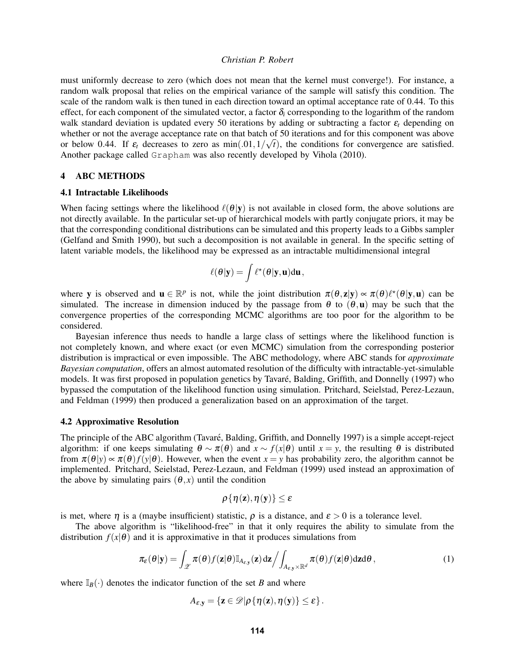must uniformly decrease to zero (which does not mean that the kernel must converge!). For instance, a random walk proposal that relies on the empirical variance of the sample will satisfy this condition. The scale of the random walk is then tuned in each direction toward an optimal acceptance rate of 0.44. To this effect, for each component of the simulated vector, a factor  $\delta_i$  corresponding to the logarithm of the random walk standard deviation is updated every 50 iterations by adding or subtracting a factor ε*<sup>t</sup>* depending on whether or not the average acceptance rate on that batch of 50 iterations and for this component was above or below 0.44. If  $\varepsilon_t$  decreases to zero as min $(0.01,1/\sqrt{t})$ , the conditions for convergence are satisfied. Another package called Grapham was also recently developed by Vihola (2010).

# 4 ABC METHODS

#### 4.1 Intractable Likelihoods

When facing settings where the likelihood  $\ell(\theta|\mathbf{y})$  is not available in closed form, the above solutions are not directly available. In the particular set-up of hierarchical models with partly conjugate priors, it may be that the corresponding conditional distributions can be simulated and this property leads to a Gibbs sampler (Gelfand and Smith 1990), but such a decomposition is not available in general. In the specific setting of latent variable models, the likelihood may be expressed as an intractable multidimensional integral

$$
\ell(\boldsymbol{\theta}|\mathbf{y}) = \int \ell^{\star}(\boldsymbol{\theta}|\mathbf{y}, \mathbf{u}) d\mathbf{u},
$$

where y is observed and  $\mathbf{u} \in \mathbb{R}^p$  is not, while the joint distribution  $\pi(\theta, \mathbf{z} | \mathbf{y}) \propto \pi(\theta) \ell^*(\theta | \mathbf{y}, \mathbf{u})$  can be simulated. The increase in dimension induced by the passage from  $\theta$  to  $(\theta, \mathbf{u})$  may be such that the convergence properties of the corresponding MCMC algorithms are too poor for the algorithm to be considered.

Bayesian inference thus needs to handle a large class of settings where the likelihood function is not completely known, and where exact (or even MCMC) simulation from the corresponding posterior distribution is impractical or even impossible. The ABC methodology, where ABC stands for *approximate Bayesian computation*, offers an almost automated resolution of the difficulty with intractable-yet-simulable models. It was first proposed in population genetics by Tavare, Balding, Griffith, and Donnelly (1997) who ´ bypassed the computation of the likelihood function using simulation. Pritchard, Seielstad, Perez-Lezaun, and Feldman (1999) then produced a generalization based on an approximation of the target.

#### 4.2 Approximative Resolution

The principle of the ABC algorithm (Tavaré, Balding, Griffith, and Donnelly 1997) is a simple accept-reject algorithm: if one keeps simulating  $\theta \sim \pi(\theta)$  and  $x \sim f(x|\theta)$  until  $x = y$ , the resulting  $\theta$  is distributed from  $\pi(\theta|y) \propto \pi(\theta) f(y|\theta)$ . However, when the event  $x = y$  has probability zero, the algorithm cannot be implemented. Pritchard, Seielstad, Perez-Lezaun, and Feldman (1999) used instead an approximation of the above by simulating pairs  $(\theta, x)$  until the condition

$$
\rho\{\eta(\mathbf{z}),\eta(\mathbf{y})\}\leq \varepsilon
$$

is met, where  $\eta$  is a (maybe insufficient) statistic,  $\rho$  is a distance, and  $\varepsilon > 0$  is a tolerance level.

The above algorithm is "likelihood-free" in that it only requires the ability to simulate from the distribution  $f(x|\theta)$  and it is approximative in that it produces simulations from

$$
\pi_{\varepsilon}(\theta|\mathbf{y}) = \int_{\mathscr{Z}} \pi(\theta) f(\mathbf{z}|\theta) \mathbb{I}_{A_{\varepsilon,\mathbf{y}}}(\mathbf{z}) d\mathbf{z} / \int_{A_{\varepsilon,\mathbf{y}} \times \mathbb{R}^d} \pi(\theta) f(\mathbf{z}|\theta) d\mathbf{z} d\theta,
$$
\n(1)

where  $\mathbb{I}_B(\cdot)$  denotes the indicator function of the set *B* and where

$$
A_{\varepsilon,\mathbf{y}} = \left\{ \mathbf{z} \in \mathscr{D} | \rho \left\{ \eta(\mathbf{z}), \eta(\mathbf{y}) \right\} \leq \varepsilon \right\}.
$$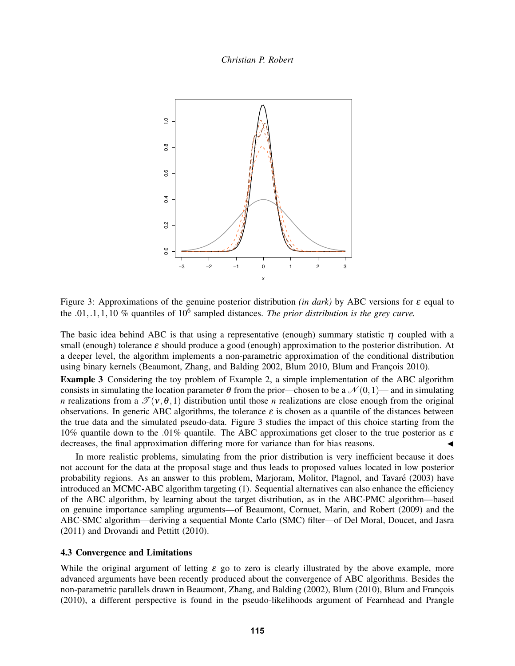

Figure 3: Approximations of the genuine posterior distribution *(in dark)* by ABC versions for ε equal to the  $.01, .1, 1, 10$  % quantiles of  $10<sup>6</sup>$  sampled distances. *The prior distribution is the grey curve*.

The basic idea behind ABC is that using a representative (enough) summary statistic  $\eta$  coupled with a small (enough) tolerance  $\varepsilon$  should produce a good (enough) approximation to the posterior distribution. At a deeper level, the algorithm implements a non-parametric approximation of the conditional distribution using binary kernels (Beaumont, Zhang, and Balding 2002, Blum 2010, Blum and François 2010).

Example 3 Considering the toy problem of Example 2, a simple implementation of the ABC algorithm consists in simulating the location parameter  $\theta$  from the prior—chosen to be a  $\mathcal{N}(0,1)$ — and in simulating *n* realizations from a  $\mathcal{T}(v,\theta,1)$  distribution until those *n* realizations are close enough from the original observations. In generic ABC algorithms, the tolerance  $\varepsilon$  is chosen as a quantile of the distances between the true data and the simulated pseudo-data. Figure 3 studies the impact of this choice starting from the 10% quantile down to the .01% quantile. The ABC approximations get closer to the true posterior as ε decreases, the final approximation differing more for variance than for bias reasons.

In more realistic problems, simulating from the prior distribution is very inefficient because it does not account for the data at the proposal stage and thus leads to proposed values located in low posterior probability regions. As an answer to this problem, Marjoram, Molitor, Plagnol, and Tavaré (2003) have introduced an MCMC-ABC algorithm targeting (1). Sequential alternatives can also enhance the efficiency of the ABC algorithm, by learning about the target distribution, as in the ABC-PMC algorithm—based on genuine importance sampling arguments—of Beaumont, Cornuet, Marin, and Robert (2009) and the ABC-SMC algorithm—deriving a sequential Monte Carlo (SMC) filter—of Del Moral, Doucet, and Jasra (2011) and Drovandi and Pettitt (2010).

#### 4.3 Convergence and Limitations

While the original argument of letting  $\varepsilon$  go to zero is clearly illustrated by the above example, more advanced arguments have been recently produced about the convergence of ABC algorithms. Besides the non-parametric parallels drawn in Beaumont, Zhang, and Balding (2002), Blum (2010), Blum and François (2010), a different perspective is found in the pseudo-likelihoods argument of Fearnhead and Prangle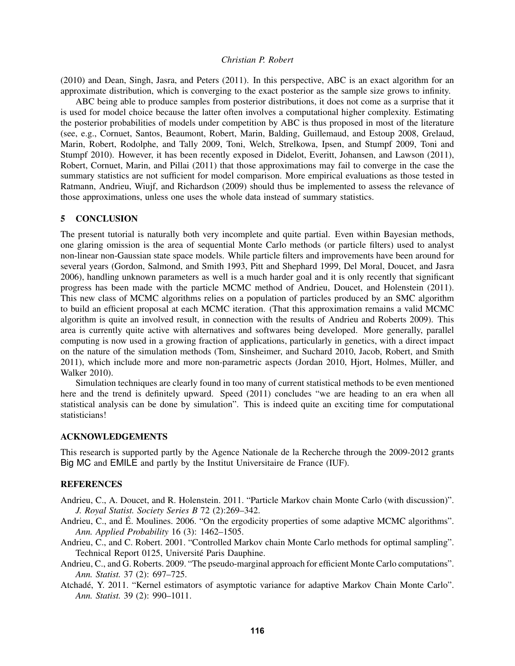(2010) and Dean, Singh, Jasra, and Peters (2011). In this perspective, ABC is an exact algorithm for an approximate distribution, which is converging to the exact posterior as the sample size grows to infinity.

ABC being able to produce samples from posterior distributions, it does not come as a surprise that it is used for model choice because the latter often involves a computational higher complexity. Estimating the posterior probabilities of models under competition by ABC is thus proposed in most of the literature (see, e.g., Cornuet, Santos, Beaumont, Robert, Marin, Balding, Guillemaud, and Estoup 2008, Grelaud, Marin, Robert, Rodolphe, and Tally 2009, Toni, Welch, Strelkowa, Ipsen, and Stumpf 2009, Toni and Stumpf 2010). However, it has been recently exposed in Didelot, Everitt, Johansen, and Lawson (2011), Robert, Cornuet, Marin, and Pillai (2011) that those approximations may fail to converge in the case the summary statistics are not sufficient for model comparison. More empirical evaluations as those tested in Ratmann, Andrieu, Wiujf, and Richardson (2009) should thus be implemented to assess the relevance of those approximations, unless one uses the whole data instead of summary statistics.

# 5 CONCLUSION

The present tutorial is naturally both very incomplete and quite partial. Even within Bayesian methods, one glaring omission is the area of sequential Monte Carlo methods (or particle filters) used to analyst non-linear non-Gaussian state space models. While particle filters and improvements have been around for several years (Gordon, Salmond, and Smith 1993, Pitt and Shephard 1999, Del Moral, Doucet, and Jasra 2006), handling unknown parameters as well is a much harder goal and it is only recently that significant progress has been made with the particle MCMC method of Andrieu, Doucet, and Holenstein (2011). This new class of MCMC algorithms relies on a population of particles produced by an SMC algorithm to build an efficient proposal at each MCMC iteration. (That this approximation remains a valid MCMC algorithm is quite an involved result, in connection with the results of Andrieu and Roberts 2009). This area is currently quite active with alternatives and softwares being developed. More generally, parallel computing is now used in a growing fraction of applications, particularly in genetics, with a direct impact on the nature of the simulation methods (Tom, Sinsheimer, and Suchard 2010, Jacob, Robert, and Smith 2011), which include more and more non-parametric aspects (Jordan 2010, Hjort, Holmes, Muller, and ¨ Walker 2010).

Simulation techniques are clearly found in too many of current statistical methods to be even mentioned here and the trend is definitely upward. Speed (2011) concludes "we are heading to an era when all statistical analysis can be done by simulation". This is indeed quite an exciting time for computational statisticians!

# ACKNOWLEDGEMENTS

This research is supported partly by the Agence Nationale de la Recherche through the 2009-2012 grants Big MC and EMILE and partly by the Institut Universitaire de France (IUF).

### **REFERENCES**

- Andrieu, C., A. Doucet, and R. Holenstein. 2011. "Particle Markov chain Monte Carlo (with discussion)". *J. Royal Statist. Society Series B* 72 (2):269–342.
- Andrieu, C., and É. Moulines. 2006. "On the ergodicity properties of some adaptive MCMC algorithms". *Ann. Applied Probability* 16 (3): 1462–1505.
- Andrieu, C., and C. Robert. 2001. "Controlled Markov chain Monte Carlo methods for optimal sampling". Technical Report 0125, Université Paris Dauphine.
- Andrieu, C., and G. Roberts. 2009. "The pseudo-marginal approach for efficient Monte Carlo computations". *Ann. Statist.* 37 (2): 697–725.
- Atchade, Y. 2011. "Kernel estimators of asymptotic variance for adaptive Markov Chain Monte Carlo". ´ *Ann. Statist.* 39 (2): 990–1011.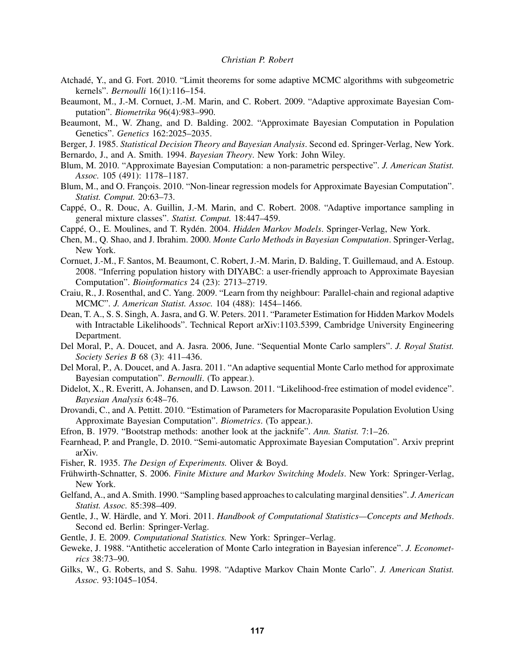- Atchade, Y., and G. Fort. 2010. "Limit theorems for some adaptive MCMC algorithms with subgeometric ´ kernels". *Bernoulli* 16(1):116–154.
- Beaumont, M., J.-M. Cornuet, J.-M. Marin, and C. Robert. 2009. "Adaptive approximate Bayesian Computation". *Biometrika* 96(4):983–990.
- Beaumont, M., W. Zhang, and D. Balding. 2002. "Approximate Bayesian Computation in Population Genetics". *Genetics* 162:2025–2035.
- Berger, J. 1985. *Statistical Decision Theory and Bayesian Analysis*. Second ed. Springer-Verlag, New York.
- Bernardo, J., and A. Smith. 1994. *Bayesian Theory*. New York: John Wiley.
- Blum, M. 2010. "Approximate Bayesian Computation: a non-parametric perspective". *J. American Statist. Assoc.* 105 (491): 1178–1187.
- Blum, M., and O. François. 2010. "Non-linear regression models for Approximate Bayesian Computation". *Statist. Comput.* 20:63–73.
- Cappé, O., R. Douc, A. Guillin, J.-M. Marin, and C. Robert. 2008. "Adaptive importance sampling in general mixture classes". *Statist. Comput.* 18:447–459.
- Cappé, O., E. Moulines, and T. Rydén. 2004. *Hidden Markov Models*. Springer-Verlag, New York.
- Chen, M., Q. Shao, and J. Ibrahim. 2000. *Monte Carlo Methods in Bayesian Computation*. Springer-Verlag, New York.
- Cornuet, J.-M., F. Santos, M. Beaumont, C. Robert, J.-M. Marin, D. Balding, T. Guillemaud, and A. Estoup. 2008. "Inferring population history with DIYABC: a user-friendly approach to Approximate Bayesian Computation". *Bioinformatics* 24 (23): 2713–2719.
- Craiu, R., J. Rosenthal, and C. Yang. 2009. "Learn from thy neighbour: Parallel-chain and regional adaptive MCMC". *J. American Statist. Assoc.* 104 (488): 1454–1466.
- Dean, T. A., S. S. Singh, A. Jasra, and G. W. Peters. 2011. "Parameter Estimation for Hidden Markov Models with Intractable Likelihoods". Technical Report arXiv:1103.5399, Cambridge University Engineering Department.
- Del Moral, P., A. Doucet, and A. Jasra. 2006, June. "Sequential Monte Carlo samplers". *J. Royal Statist. Society Series B* 68 (3): 411–436.
- Del Moral, P., A. Doucet, and A. Jasra. 2011. "An adaptive sequential Monte Carlo method for approximate Bayesian computation". *Bernoulli*. (To appear.).
- Didelot, X., R. Everitt, A. Johansen, and D. Lawson. 2011. "Likelihood-free estimation of model evidence". *Bayesian Analysis* 6:48–76.
- Drovandi, C., and A. Pettitt. 2010. "Estimation of Parameters for Macroparasite Population Evolution Using Approximate Bayesian Computation". *Biometrics*. (To appear.).
- Efron, B. 1979. "Bootstrap methods: another look at the jacknife". *Ann. Statist.* 7:1–26.
- Fearnhead, P. and Prangle, D. 2010. "Semi-automatic Approximate Bayesian Computation". Arxiv preprint arXiv.
- Fisher, R. 1935. *The Design of Experiments.* Oliver & Boyd.
- Frühwirth-Schnatter, S. 2006. Finite Mixture and Markov Switching Models. New York: Springer-Verlag, New York.
- Gelfand, A., and A. Smith. 1990. "Sampling based approaches to calculating marginal densities". *J. American Statist. Assoc.* 85:398–409.
- Gentle, J., W. Härdle, and Y. Mori. 2011. *Handbook of Computational Statistics—Concepts and Methods*. Second ed. Berlin: Springer-Verlag.
- Gentle, J. E. 2009. *Computational Statistics.* New York: Springer–Verlag.
- Geweke, J. 1988. "Antithetic acceleration of Monte Carlo integration in Bayesian inference". *J. Econometrics* 38:73–90.
- Gilks, W., G. Roberts, and S. Sahu. 1998. "Adaptive Markov Chain Monte Carlo". *J. American Statist. Assoc.* 93:1045–1054.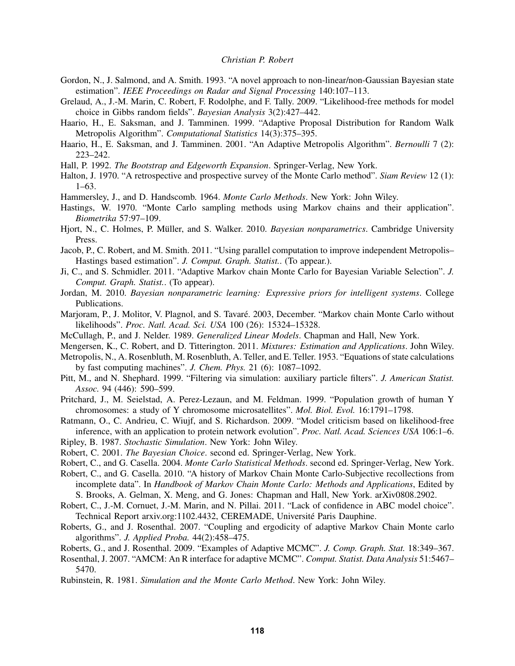- Gordon, N., J. Salmond, and A. Smith. 1993. "A novel approach to non-linear/non-Gaussian Bayesian state estimation". *IEEE Proceedings on Radar and Signal Processing* 140:107–113.
- Grelaud, A., J.-M. Marin, C. Robert, F. Rodolphe, and F. Tally. 2009. "Likelihood-free methods for model choice in Gibbs random fields". *Bayesian Analysis* 3(2):427–442.
- Haario, H., E. Saksman, and J. Tamminen. 1999. "Adaptive Proposal Distribution for Random Walk Metropolis Algorithm". *Computational Statistics* 14(3):375–395.
- Haario, H., E. Saksman, and J. Tamminen. 2001. "An Adaptive Metropolis Algorithm". *Bernoulli* 7 (2): 223–242.
- Hall, P. 1992. *The Bootstrap and Edgeworth Expansion*. Springer-Verlag, New York.
- Halton, J. 1970. "A retrospective and prospective survey of the Monte Carlo method". *Siam Review* 12 (1): 1–63.
- Hammersley, J., and D. Handscomb. 1964. *Monte Carlo Methods*. New York: John Wiley.
- Hastings, W. 1970. "Monte Carlo sampling methods using Markov chains and their application". *Biometrika* 57:97–109.
- Hjort, N., C. Holmes, P. Müller, and S. Walker. 2010. *Bayesian nonparametrics*. Cambridge University Press.
- Jacob, P., C. Robert, and M. Smith. 2011. "Using parallel computation to improve independent Metropolis– Hastings based estimation". *J. Comput. Graph. Statist.*. (To appear.).
- Ji, C., and S. Schmidler. 2011. "Adaptive Markov chain Monte Carlo for Bayesian Variable Selection". *J. Comput. Graph. Statist.*. (To appear).
- Jordan, M. 2010. *Bayesian nonparametric learning: Expressive priors for intelligent systems*. College Publications.
- Marjoram, P., J. Molitor, V. Plagnol, and S. Tavaré. 2003, December. "Markov chain Monte Carlo without likelihoods". *Proc. Natl. Acad. Sci. USA* 100 (26): 15324–15328.
- McCullagh, P., and J. Nelder. 1989. *Generalized Linear Models*. Chapman and Hall, New York.
- Mengersen, K., C. Robert, and D. Titterington. 2011. *Mixtures: Estimation and Applications*. John Wiley.
- Metropolis, N., A. Rosenbluth, M. Rosenbluth, A. Teller, and E. Teller. 1953. "Equations of state calculations by fast computing machines". *J. Chem. Phys.* 21 (6): 1087–1092.
- Pitt, M., and N. Shephard. 1999. "Filtering via simulation: auxiliary particle filters". *J. American Statist. Assoc.* 94 (446): 590–599.
- Pritchard, J., M. Seielstad, A. Perez-Lezaun, and M. Feldman. 1999. "Population growth of human Y chromosomes: a study of Y chromosome microsatellites". *Mol. Biol. Evol.* 16:1791–1798.
- Ratmann, O., C. Andrieu, C. Wiujf, and S. Richardson. 2009. "Model criticism based on likelihood-free inference, with an application to protein network evolution". *Proc. Natl. Acad. Sciences USA* 106:1–6.
- Ripley, B. 1987. *Stochastic Simulation*. New York: John Wiley.
- Robert, C. 2001. *The Bayesian Choice*. second ed. Springer-Verlag, New York.
- Robert, C., and G. Casella. 2004. *Monte Carlo Statistical Methods*. second ed. Springer-Verlag, New York.
- Robert, C., and G. Casella. 2010. "A history of Markov Chain Monte Carlo-Subjective recollections from incomplete data". In *Handbook of Markov Chain Monte Carlo: Methods and Applications*, Edited by S. Brooks, A. Gelman, X. Meng, and G. Jones: Chapman and Hall, New York. arXiv0808.2902.
- Robert, C., J.-M. Cornuet, J.-M. Marin, and N. Pillai. 2011. "Lack of confidence in ABC model choice". Technical Report arxiv.org:1102.4432, CEREMADE, Université Paris Dauphine.
- Roberts, G., and J. Rosenthal. 2007. "Coupling and ergodicity of adaptive Markov Chain Monte carlo algorithms". *J. Applied Proba.* 44(2):458–475.
- Roberts, G., and J. Rosenthal. 2009. "Examples of Adaptive MCMC". *J. Comp. Graph. Stat.* 18:349–367.
- Rosenthal, J. 2007. "AMCM: An R interface for adaptive MCMC". *Comput. Statist. Data Analysis* 51:5467– 5470.
- Rubinstein, R. 1981. *Simulation and the Monte Carlo Method*. New York: John Wiley.